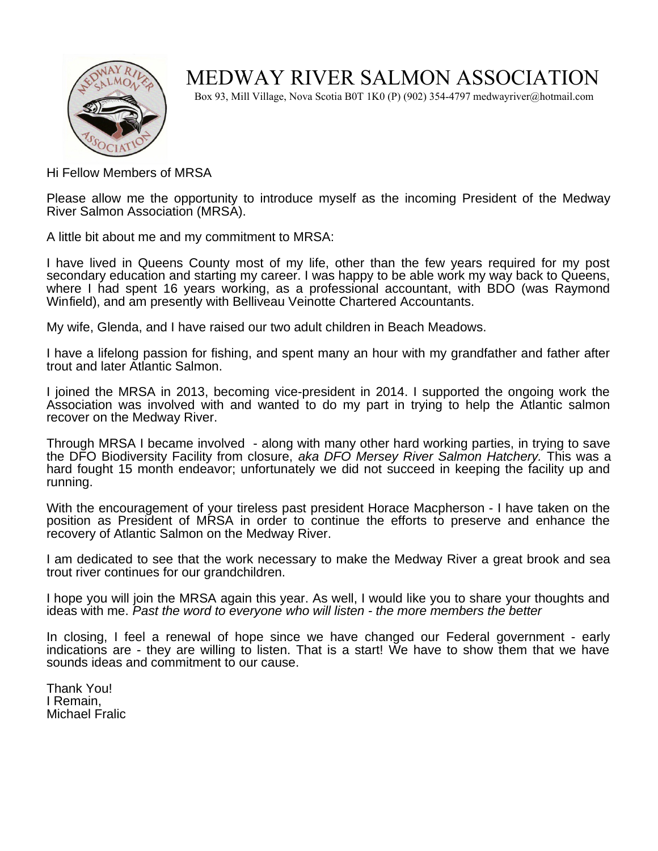

## MEDWAY RIVER SALMON ASSOCIATION

Box 93, Mill Village, Nova Scotia B0T 1K0 (P) (902) 354-4797 medwayriver@hotmail.com

Hi Fellow Members of MRSA

Please allow me the opportunity to introduce myself as the incoming President of the Medway River Salmon Association (MRSA).

A little bit about me and my commitment to MRSA:

I have lived in Queens County most of my life, other than the few years required for my post secondary education and starting my career. I was happy to be able work my way back to Queens, where I had spent 16 years working, as a professional accountant, with BDO (was Raymond Winfield), and am presently with Belliveau Veinotte Chartered Accountants.

My wife, Glenda, and I have raised our two adult children in Beach Meadows.

I have a lifelong passion for fishing, and spent many an hour with my grandfather and father after trout and later Atlantic Salmon.

I joined the MRSA in 2013, becoming vice-president in 2014. I supported the ongoing work the Association was involved with and wanted to do my part in trying to help the Atlantic salmon recover on the Medway River.

Through MRSA I became involved - along with many other hard working parties, in trying to save the DFO Biodiversity Facility from closure, aka DFO Mersey River Salmon Hatchery. This was a hard fought 15 month endeavor; unfortunately we did not succeed in keeping the facility up and running.

With the encouragement of your tireless past president Horace Macpherson - I have taken on the position as President of MRSA in order to continue the efforts to preserve and enhance the recovery of Atlantic Salmon on the Medway River.

I am dedicated to see that the work necessary to make the Medway River a great brook and sea trout river continues for our grandchildren.

I hope you will join the MRSA again this year. As well, I would like you to share your thoughts and ideas with me. Past the word to everyone who will listen - the more members the better

In closing, I feel a renewal of hope since we have changed our Federal government - early indications are - they are willing to listen. That is a start! We have to show them that we have sounds ideas and commitment to our cause.

Thank You! I Remain, Michael Fralic